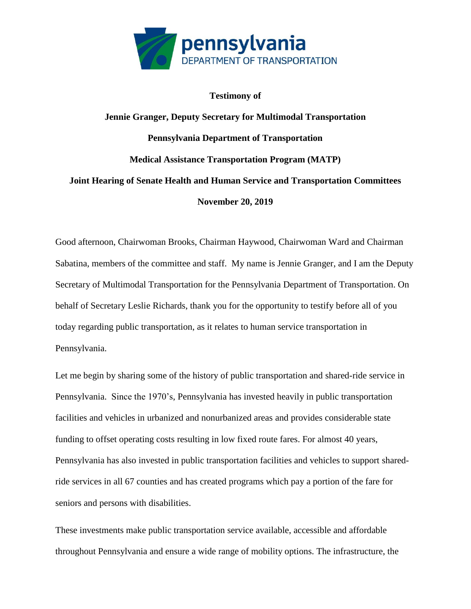

## **Testimony of**

## **Jennie Granger, Deputy Secretary for Multimodal Transportation Pennsylvania Department of Transportation Medical Assistance Transportation Program (MATP) Joint Hearing of Senate Health and Human Service and Transportation Committees November 20, 2019**

Good afternoon, Chairwoman Brooks, Chairman Haywood, Chairwoman Ward and Chairman Sabatina, members of the committee and staff. My name is Jennie Granger, and I am the Deputy Secretary of Multimodal Transportation for the Pennsylvania Department of Transportation. On behalf of Secretary Leslie Richards, thank you for the opportunity to testify before all of you today regarding public transportation, as it relates to human service transportation in Pennsylvania.

Let me begin by sharing some of the history of public transportation and shared-ride service in Pennsylvania. Since the 1970's, Pennsylvania has invested heavily in public transportation facilities and vehicles in urbanized and nonurbanized areas and provides considerable state funding to offset operating costs resulting in low fixed route fares. For almost 40 years, Pennsylvania has also invested in public transportation facilities and vehicles to support sharedride services in all 67 counties and has created programs which pay a portion of the fare for seniors and persons with disabilities.

These investments make public transportation service available, accessible and affordable throughout Pennsylvania and ensure a wide range of mobility options. The infrastructure, the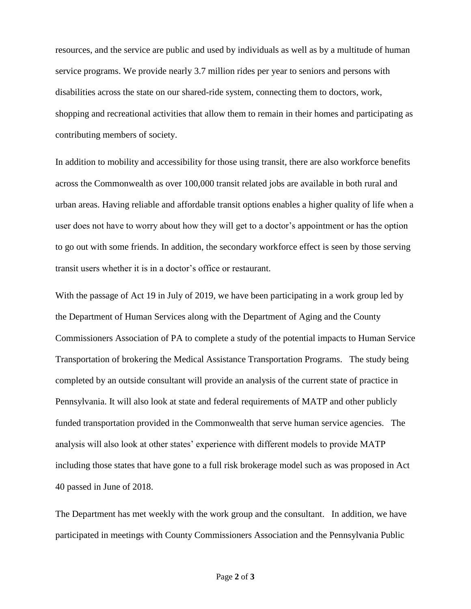resources, and the service are public and used by individuals as well as by a multitude of human service programs. We provide nearly 3.7 million rides per year to seniors and persons with disabilities across the state on our shared-ride system, connecting them to doctors, work, shopping and recreational activities that allow them to remain in their homes and participating as contributing members of society.

In addition to mobility and accessibility for those using transit, there are also workforce benefits across the Commonwealth as over 100,000 transit related jobs are available in both rural and urban areas. Having reliable and affordable transit options enables a higher quality of life when a user does not have to worry about how they will get to a doctor's appointment or has the option to go out with some friends. In addition, the secondary workforce effect is seen by those serving transit users whether it is in a doctor's office or restaurant.

With the passage of Act 19 in July of 2019, we have been participating in a work group led by the Department of Human Services along with the Department of Aging and the County Commissioners Association of PA to complete a study of the potential impacts to Human Service Transportation of brokering the Medical Assistance Transportation Programs. The study being completed by an outside consultant will provide an analysis of the current state of practice in Pennsylvania. It will also look at state and federal requirements of MATP and other publicly funded transportation provided in the Commonwealth that serve human service agencies. The analysis will also look at other states' experience with different models to provide MATP including those states that have gone to a full risk brokerage model such as was proposed in Act 40 passed in June of 2018.

The Department has met weekly with the work group and the consultant. In addition, we have participated in meetings with County Commissioners Association and the Pennsylvania Public